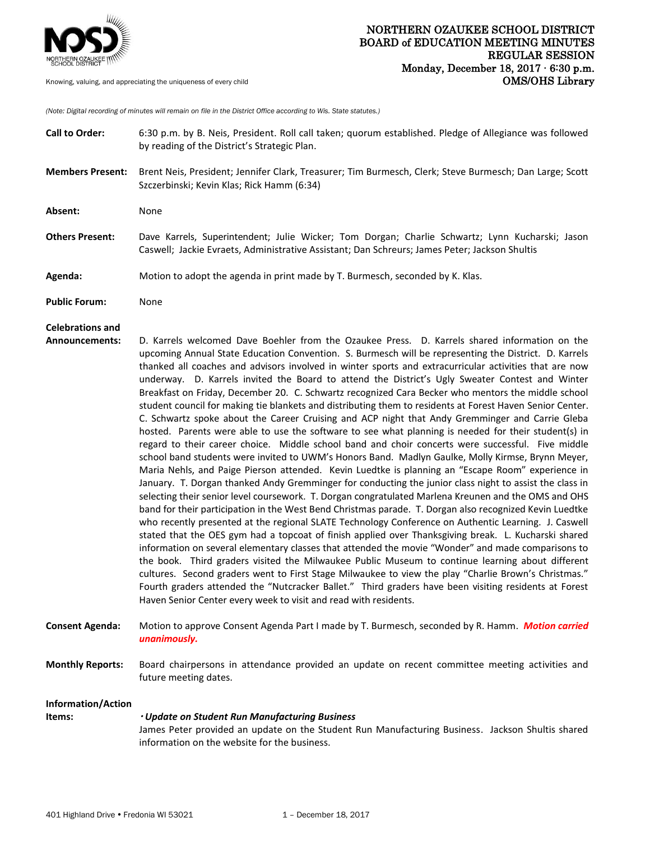

*(Note: Digital recording of minutes will remain on file in the District Office according to Wis. State statutes.)*

| <b>Call to Order:</b>   | 6:30 p.m. by B. Neis, President. Roll call taken; quorum established. Pledge of Allegiance was followed<br>by reading of the District's Strategic Plan.                                                                                                                                                                                                                                                                                                                                                                                                                                                                                                                                                                                                                                                                                                                                                                                                                                                                                                                                                                                                                                                                                                                                                                                                                                                                                                                                                                                                                                                                                                                                                                                                                                                                                                                                                                                                                                                                                                                                                                                                                                                       |
|-------------------------|---------------------------------------------------------------------------------------------------------------------------------------------------------------------------------------------------------------------------------------------------------------------------------------------------------------------------------------------------------------------------------------------------------------------------------------------------------------------------------------------------------------------------------------------------------------------------------------------------------------------------------------------------------------------------------------------------------------------------------------------------------------------------------------------------------------------------------------------------------------------------------------------------------------------------------------------------------------------------------------------------------------------------------------------------------------------------------------------------------------------------------------------------------------------------------------------------------------------------------------------------------------------------------------------------------------------------------------------------------------------------------------------------------------------------------------------------------------------------------------------------------------------------------------------------------------------------------------------------------------------------------------------------------------------------------------------------------------------------------------------------------------------------------------------------------------------------------------------------------------------------------------------------------------------------------------------------------------------------------------------------------------------------------------------------------------------------------------------------------------------------------------------------------------------------------------------------------------|
| <b>Members Present:</b> | Brent Neis, President; Jennifer Clark, Treasurer; Tim Burmesch, Clerk; Steve Burmesch; Dan Large; Scott<br>Szczerbinski; Kevin Klas; Rick Hamm (6:34)                                                                                                                                                                                                                                                                                                                                                                                                                                                                                                                                                                                                                                                                                                                                                                                                                                                                                                                                                                                                                                                                                                                                                                                                                                                                                                                                                                                                                                                                                                                                                                                                                                                                                                                                                                                                                                                                                                                                                                                                                                                         |
| Absent:                 | None                                                                                                                                                                                                                                                                                                                                                                                                                                                                                                                                                                                                                                                                                                                                                                                                                                                                                                                                                                                                                                                                                                                                                                                                                                                                                                                                                                                                                                                                                                                                                                                                                                                                                                                                                                                                                                                                                                                                                                                                                                                                                                                                                                                                          |
| <b>Others Present:</b>  | Dave Karrels, Superintendent; Julie Wicker; Tom Dorgan; Charlie Schwartz; Lynn Kucharski; Jason<br>Caswell; Jackie Evraets, Administrative Assistant; Dan Schreurs; James Peter; Jackson Shultis                                                                                                                                                                                                                                                                                                                                                                                                                                                                                                                                                                                                                                                                                                                                                                                                                                                                                                                                                                                                                                                                                                                                                                                                                                                                                                                                                                                                                                                                                                                                                                                                                                                                                                                                                                                                                                                                                                                                                                                                              |
| Agenda:                 | Motion to adopt the agenda in print made by T. Burmesch, seconded by K. Klas.                                                                                                                                                                                                                                                                                                                                                                                                                                                                                                                                                                                                                                                                                                                                                                                                                                                                                                                                                                                                                                                                                                                                                                                                                                                                                                                                                                                                                                                                                                                                                                                                                                                                                                                                                                                                                                                                                                                                                                                                                                                                                                                                 |
| <b>Public Forum:</b>    | None                                                                                                                                                                                                                                                                                                                                                                                                                                                                                                                                                                                                                                                                                                                                                                                                                                                                                                                                                                                                                                                                                                                                                                                                                                                                                                                                                                                                                                                                                                                                                                                                                                                                                                                                                                                                                                                                                                                                                                                                                                                                                                                                                                                                          |
| <b>Celebrations and</b> |                                                                                                                                                                                                                                                                                                                                                                                                                                                                                                                                                                                                                                                                                                                                                                                                                                                                                                                                                                                                                                                                                                                                                                                                                                                                                                                                                                                                                                                                                                                                                                                                                                                                                                                                                                                                                                                                                                                                                                                                                                                                                                                                                                                                               |
| Announcements:          | D. Karrels welcomed Dave Boehler from the Ozaukee Press. D. Karrels shared information on the<br>upcoming Annual State Education Convention. S. Burmesch will be representing the District. D. Karrels<br>thanked all coaches and advisors involved in winter sports and extracurricular activities that are now<br>underway. D. Karrels invited the Board to attend the District's Ugly Sweater Contest and Winter<br>Breakfast on Friday, December 20. C. Schwartz recognized Cara Becker who mentors the middle school<br>student council for making tie blankets and distributing them to residents at Forest Haven Senior Center.<br>C. Schwartz spoke about the Career Cruising and ACP night that Andy Gremminger and Carrie Gleba<br>hosted. Parents were able to use the software to see what planning is needed for their student(s) in<br>regard to their career choice. Middle school band and choir concerts were successful. Five middle<br>school band students were invited to UWM's Honors Band. Madlyn Gaulke, Molly Kirmse, Brynn Meyer,<br>Maria Nehls, and Paige Pierson attended. Kevin Luedtke is planning an "Escape Room" experience in<br>January. T. Dorgan thanked Andy Gremminger for conducting the junior class night to assist the class in<br>selecting their senior level coursework. T. Dorgan congratulated Marlena Kreunen and the OMS and OHS<br>band for their participation in the West Bend Christmas parade. T. Dorgan also recognized Kevin Luedtke<br>who recently presented at the regional SLATE Technology Conference on Authentic Learning. J. Caswell<br>stated that the OES gym had a topcoat of finish applied over Thanksgiving break. L. Kucharski shared<br>information on several elementary classes that attended the movie "Wonder" and made comparisons to<br>the book. Third graders visited the Milwaukee Public Museum to continue learning about different<br>cultures. Second graders went to First Stage Milwaukee to view the play "Charlie Brown's Christmas."<br>Fourth graders attended the "Nutcracker Ballet." Third graders have been visiting residents at Forest<br>Haven Senior Center every week to visit and read with residents. |
| <b>Consent Agenda:</b>  | Motion to approve Consent Agenda Part I made by T. Burmesch, seconded by R. Hamm. Motion carried<br>unanimously.                                                                                                                                                                                                                                                                                                                                                                                                                                                                                                                                                                                                                                                                                                                                                                                                                                                                                                                                                                                                                                                                                                                                                                                                                                                                                                                                                                                                                                                                                                                                                                                                                                                                                                                                                                                                                                                                                                                                                                                                                                                                                              |
| <b>Monthly Reports:</b> | Board chairpersons in attendance provided an update on recent committee meeting activities and<br>future meeting dates.                                                                                                                                                                                                                                                                                                                                                                                                                                                                                                                                                                                                                                                                                                                                                                                                                                                                                                                                                                                                                                                                                                                                                                                                                                                                                                                                                                                                                                                                                                                                                                                                                                                                                                                                                                                                                                                                                                                                                                                                                                                                                       |
| Information/Action      |                                                                                                                                                                                                                                                                                                                                                                                                                                                                                                                                                                                                                                                                                                                                                                                                                                                                                                                                                                                                                                                                                                                                                                                                                                                                                                                                                                                                                                                                                                                                                                                                                                                                                                                                                                                                                                                                                                                                                                                                                                                                                                                                                                                                               |
| Items:                  | <b>· Update on Student Run Manufacturing Business</b><br>James Peter provided an update on the Student Run Manufacturing Business. Jackson Shultis shared<br>information on the website for the business.                                                                                                                                                                                                                                                                                                                                                                                                                                                                                                                                                                                                                                                                                                                                                                                                                                                                                                                                                                                                                                                                                                                                                                                                                                                                                                                                                                                                                                                                                                                                                                                                                                                                                                                                                                                                                                                                                                                                                                                                     |